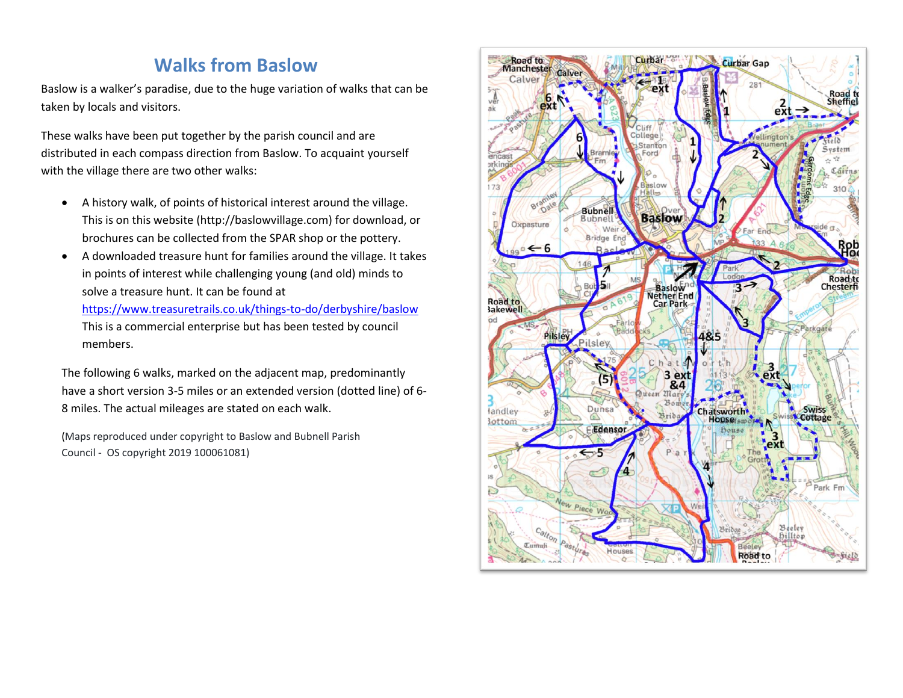## **Walks from Baslow**

Baslow is a walker's paradise, due to the huge variation of walks that can be taken by locals and visitors.

These walks have been put together by the parish council and are distributed in each compass direction from Baslow. To acquaint yourself with the village there are two other walks:

- A history walk, of points of historical interest around the village. This is on this website (http://baslowvillage.com) for download, or brochures can be collected from the SPAR shop or the pottery.
- A downloaded treasure hunt for families around the village. It takes in points of interest while challenging young (and old) minds to solve a treasure hunt. It can be found at

<https://www.treasuretrails.co.uk/things-to-do/derbyshire/baslow> This is a commercial enterprise but has been tested by council members.

The following 6 walks, marked on the adjacent map, predominantly have a short version 3-5 miles or an extended version (dotted line) of 6- 8 miles. The actual mileages are stated on each walk.

(Maps reproduced under copyright to Baslow and Bubnell Parish Council - OS copyright 2019 100061081)